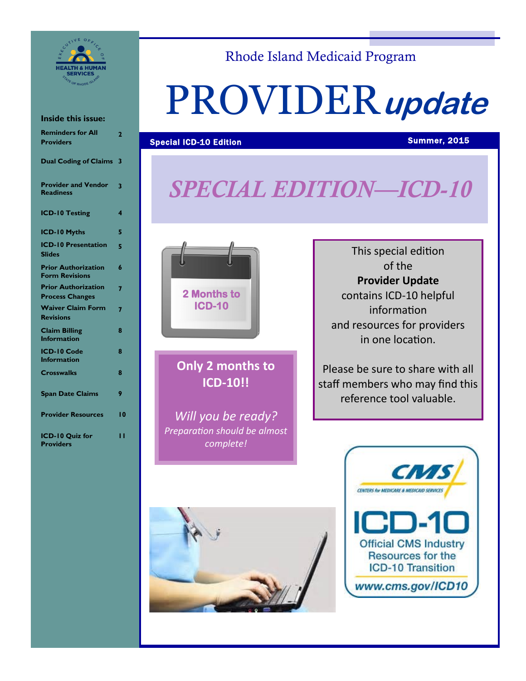

#### **Inside this issue:**

| <b>Reminders for All</b><br><b>Providers</b>         | 2               |
|------------------------------------------------------|-----------------|
| <b>Dual Coding of Claims</b>                         | 3               |
| <b>Provider and Vendor</b><br><b>Readiness</b>       | 3               |
| <b>ICD-10 Testing</b>                                | 4               |
| <b>ICD-10 Myths</b>                                  | 5               |
| <b>ICD-10 Presentation</b><br><b>Slides</b>          | 5               |
| <b>Prior Authorization</b><br><b>Form Revisions</b>  | 6               |
| <b>Prior Authorization</b><br><b>Process Changes</b> | 7               |
| <b>Waiver Claim Form</b><br><b>Revisions</b>         | 7               |
| <b>Claim Billing</b><br><b>Information</b>           | 8               |
| ICD-10 Code<br><b>Information</b>                    | 8               |
| <b>Crosswalks</b>                                    | 8               |
| <b>Span Date Claims</b>                              | 9               |
| <b>Provider Resources</b>                            | $\overline{10}$ |
| ICD-10 Quiz for<br><b>Providers</b>                  | ''              |
|                                                      |                 |

# Rhode Island Medicaid Program

# PROVIDER**update**

# **Special ICD-10 Edition Summer, 2015** Special ICD-10 Edition Summer, 2015

# *SPECIAL EDITION—ICD-10*



**Only 2 months to ICD-10!!**

*Will you be ready? Preparation should be almost complete!*

This special edition of the **Provider Update** contains ICD-10 helpful information and resources for providers in one location.

staff members who may find this Please be sure to share with all reference tool valuable.



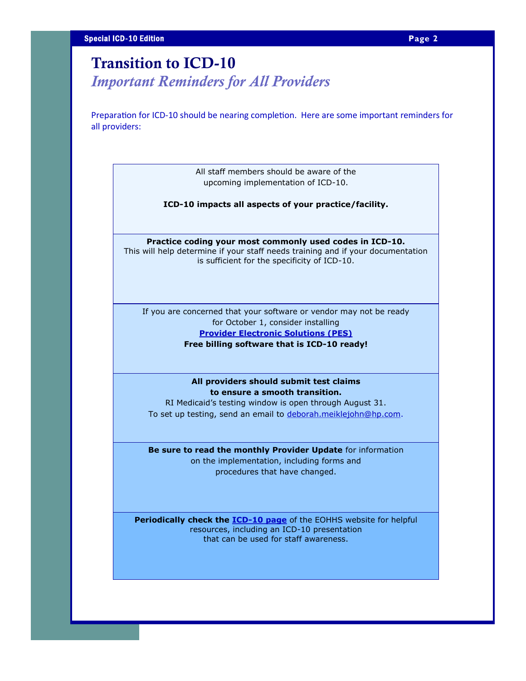# **Transition to ICD-10**

*Important Reminders for All Providers*

Preparation for ICD-10 should be nearing completion. Here are some important reminders for all providers:

> All staff members should be aware of the upcoming implementation of ICD-10.

**ICD-10 impacts all aspects of your practice/facility.**

**Practice coding your most commonly used codes in ICD-10.**

This will help determine if your staff needs training and if your documentation is sufficient for the specificity of ICD-10.

If you are concerned that your software or vendor may not be ready for October 1, consider installing **[Provider Electronic Solutions \(PES\)](http://www.eohhs.ri.gov/ProvidersPartners/BillingampClaims/ProviderElectronicSolutionsPESSoftware.aspx) Free billing software that is ICD-10 ready!**

> **All providers should submit test claims to ensure a smooth transition.**

RI Medicaid's testing window is open through August 31. To set up testing, send an email to [deborah.meiklejohn@hp.com.](mailto:deborah.meiklejohn@hp.com)

**Be sure to read the monthly Provider Update** for information on the implementation, including forms and procedures that have changed.

**Periodically check the [ICD-10 page](http://www.eohhs.ri.gov/ProvidersPartners/ICD-10Implementation.aspxn)** of the EOHHS website for helpful resources, including an ICD-10 presentation that can be used for staff awareness.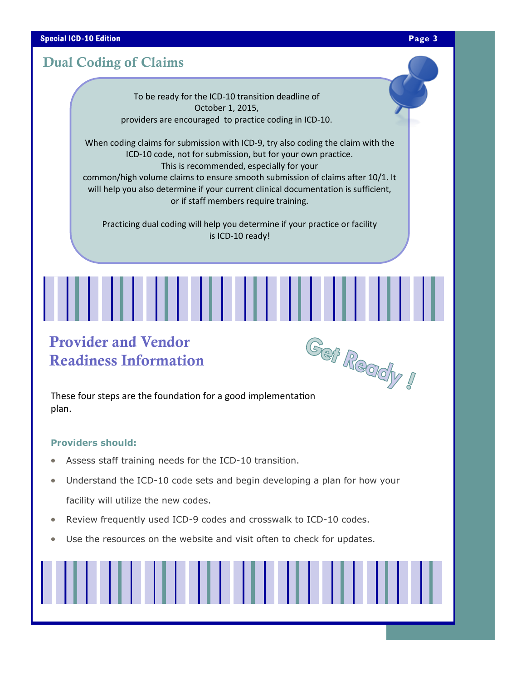#### **Special ICD-10 Edition Page 3**

#### **Dual Coding of Claims**

To be ready for the ICD-10 transition deadline of October 1, 2015, providers are encouraged to practice coding in ICD-10.

When coding claims for submission with ICD-9, try also coding the claim with the ICD-10 code, not for submission, but for your own practice. This is recommended, especially for your common/high volume claims to ensure smooth submission of claims after 10/1. It will help you also determine if your current clinical documentation is sufficient, or if staff members require training.

Practicing dual coding will help you determine if your practice or facility is ICD-10 ready!

# **Provider and Vendor Readiness Information**



plan.

#### **Providers should:**

- Assess staff training needs for the ICD-10 transition.
- Understand the ICD-10 code sets and begin developing a plan for how your facility will utilize the new codes.
- Review frequently used ICD-9 codes and crosswalk to ICD-10 codes.
- Use the resources on the website and visit often to check for updates.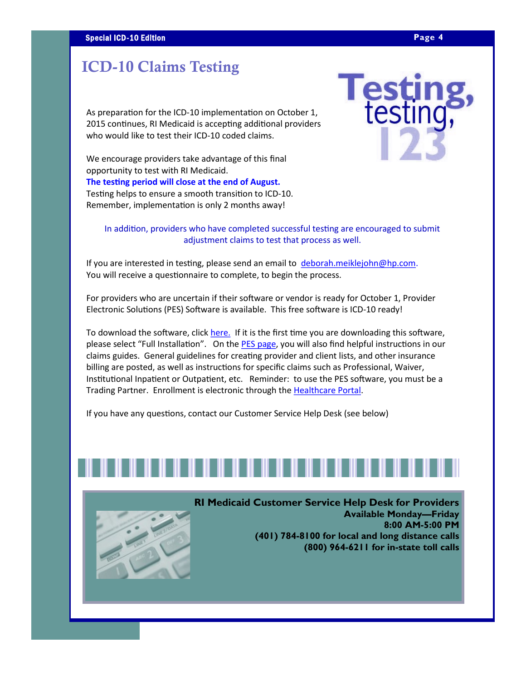# **ICD-10 Claims Testing**

As preparation for the ICD-10 implementation on October 1, 2015 continues, RI Medicaid is accepting additional providers who would like to test their ICD-10 coded claims.

We encourage providers take advantage of this final opportunity to test with RI Medicaid. **The testing period will close at the end of August.**  Testing helps to ensure a smooth transition to ICD-10. Remember, implementation is only 2 months away!

In addition, providers who have completed successful testing are encouraged to submit adjustment claims to test that process as well.

If you are interested in testing, please send an email to [deborah.meiklejohn@hp.com.](mailto:deborah.meiklejohn@hp.com) You will receive a questionnaire to complete, to begin the process.

For providers who are uncertain if their software or vendor is ready for October 1, Provider Electronic Solutions (PES) Software is available. This free software is ICD-10 ready!

To download the software, click [here.](http://www.eohhs.ri.gov/ProvidersPartners/BillingampClaims/ProviderElectronicSolutionsPESSoftware.aspx) If it is the first time you are downloading this software, please select "Full Installation". On the [PES page,](http://www.eohhs.ri.gov/ProvidersPartners/BillingampClaims/ProviderElectronicSolutionsPESSoftware.aspx) you will also find helpful instructions in our claims guides. General guidelines for creating provider and client lists, and other insurance billing are posted, as well as instructions for specific claims such as Professional, Waiver, Institutional Inpatient or Outpatient, etc. Reminder: to use the PES software, you must be a Trading Partner. Enrollment is electronic through the [Healthcare Portal.](https://www.riproviderportal.org/HCP/Default.aspx?alias=www.riproviderportal.org/hcp/provider)

If you have any questions, contact our Customer Service Help Desk (see below)



**RI Medicaid Customer Service Help Desk for Providers Available Monday—Friday 8:00 AM-5:00 PM (401) 784-8100 for local and long distance calls (800) 964-6211 for in-state toll calls** 

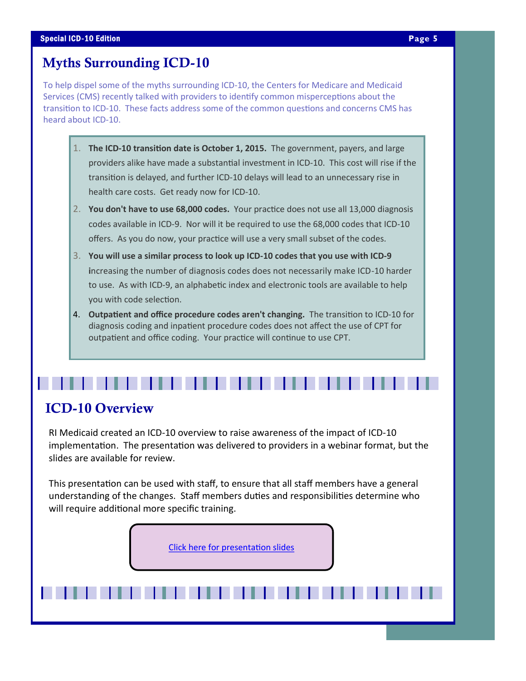# **Myths Surrounding ICD-10**

To help dispel some of the myths surrounding ICD-10, the Centers for Medicare and Medicaid Services (CMS) recently talked with providers to identify common misperceptions about the transition to ICD-10. These facts address some of the common questions and concerns CMS has heard about ICD-10.

- 1. **The ICD-10 transition date is October 1, 2015.** The government, payers, and large providers alike have made a substantial investment in ICD-10. This cost will rise if the transition is delayed, and further ICD-10 delays will lead to an unnecessary rise in health care costs. Get ready now for ICD-10.
- 2. **You don't have to use 68,000 codes.** Your practice does not use all 13,000 diagnosis codes available in ICD-9. Nor will it be required to use the 68,000 codes that ICD-10 offers. As you do now, your practice will use a very small subset of the codes.
- 3. **You will use a similar process to look up ICD-10 codes that you use with ICD-9 i**ncreasing the number of diagnosis codes does not necessarily make ICD-10 harder to use. As with ICD-9, an alphabetic index and electronic tools are available to help you with code selection.
- 4. **Outpatient and office procedure codes aren't changing.** The transition to ICD-10 for diagnosis coding and inpatient procedure codes does not affect the use of CPT for outpatient and office coding. Your practice will continue to use CPT.

### **ICD-10 Overview**

RI Medicaid created an ICD-10 overview to raise awareness of the impact of ICD-10 implementation. The presentation was delivered to providers in a webinar format, but the slides are available for review.

. . . . .

This presentation can be used with staff, to ensure that all staff members have a general understanding of the changes. Staff members duties and responsibilities determine who will require additional more specific training.

[Click here for presentation slides](http://www.eohhs.ri.gov/Portals/0/Uploads/Documents/ICD10_presentation_slides.pdf)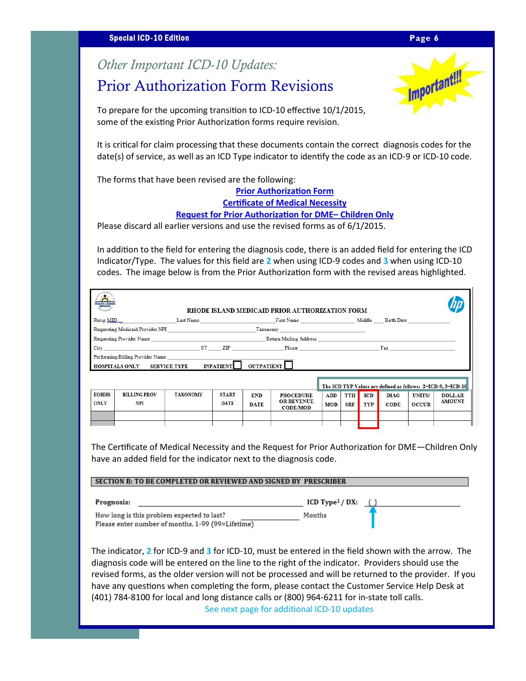#### **Special ICD-10 Edition Page 6**

# *Other Important ICD-10 Updates:*

# Prior Authorization Form Revisions



To prepare for the upcoming transition to ICD-10 effective 10/1/2015, some of the existing Prior Authorization forms require revision.

It is critical for claim processing that these documents contain the correct diagnosis codes for the date(s) of service, as well as an ICD Type indicator to identify the code as an ICD-9 or ICD-10 code.

The forms that have been revised are the following:

**[Prior Authorization Form](http://www.eohhs.ri.gov/Portals/0/Uploads/Documents/pa_form.pdf)**

**[Certificate of Medical Necessity](http://www.eohhs.ri.gov/Portals/0/Uploads/Documents/DME.CMN.pdf)**

**[Request for Prior Authorization for DME–](http://www.eohhs.ri.gov/Portals/0/Uploads/Documents/childrens_dme_form.pdf) Children Only**

Please discard all earlier versions and use the revised forms as of 6/1/2015.

In addition to the field for entering the diagnosis code, there is an added field for entering the ICD Indicator/Type. The values for this field are **2** when using ICD-9 codes and **3** when using ICD-10 codes. The image below is from the Prior Authorization form with the revised areas highlighted.

|                                                                                              | City <b>Example 2018</b> ST 2LIP <b>Phone Phone Phone Fax</b> |                 |              |             |                                      |                                                              |     |     |             |              |               |
|----------------------------------------------------------------------------------------------|---------------------------------------------------------------|-----------------|--------------|-------------|--------------------------------------|--------------------------------------------------------------|-----|-----|-------------|--------------|---------------|
| Performing/Billing Provider Name<br>$HOSPITALS \; ONLY \;$ SERVICE TYPE INPATIENT UUTPATIENT |                                                               |                 |              |             |                                      |                                                              |     |     |             |              |               |
|                                                                                              |                                                               |                 |              |             |                                      | The ICD TYP Values are defined as follows: 2=ICD-9, 3=ICD-10 |     |     |             |              |               |
| <b>EOHHS</b>                                                                                 | <b>BILLING PROV</b>                                           | <b>TAXONOMY</b> | <b>START</b> | <b>END</b>  | <b>PROCEDURE</b>                     | ADD                                                          | TTH | ICD | <b>DIAG</b> | UNITS/       | <b>DOLLAR</b> |
|                                                                                              | NPI                                                           |                 | <b>DATE</b>  | <b>DATE</b> | <b>OR REVENUE</b><br><b>CODE/MOD</b> | MOD                                                          | SRF | TYP | CODE        | <b>OCCUR</b> | <b>AMOUNT</b> |
|                                                                                              |                                                               |                 |              |             |                                      |                                                              |     |     |             |              |               |
| <b>ONLY</b>                                                                                  |                                                               |                 |              |             |                                      |                                                              |     |     |             |              |               |

have an added field for the indicator next to the diagnosis code.

| Prognosis:                                                                                      | ICD $Type1/DX:$ |  |  |  |
|-------------------------------------------------------------------------------------------------|-----------------|--|--|--|
| How long is this problem expected to last?<br>Please enter number of months, 1-99 (99=Lifetime) | Months          |  |  |  |

The indicator, **2** for ICD-9 and **3** for ICD-10, must be entered in the field shown with the arrow. The diagnosis code will be entered on the line to the right of the indicator. Providers should use the revised forms, as the older version will not be processed and will be returned to the provider. If you have any questions when completing the form, please contact the Customer Service Help Desk at (401) 784-8100 for local and long distance calls or (800) 964-6211 for in-state toll calls. See next page for additional ICD-10 updates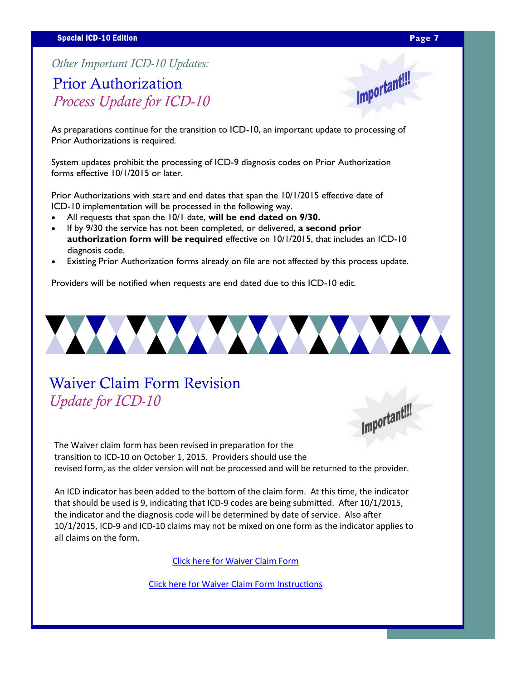Important!!!

*Other Important ICD-10 Updates:*

# Prior Authorization *Process Update for ICD-10*

As preparations continue for the transition to ICD-10, an important update to processing of Prior Authorizations is required.

System updates prohibit the processing of ICD-9 diagnosis codes on Prior Authorization forms effective 10/1/2015 or later.

Prior Authorizations with start and end dates that span the 10/1/2015 effective date of ICD-10 implementation will be processed in the following way.

- All requests that span the 10/1 date, **will be end dated on 9/30.**
- If by 9/30 the service has not been completed, or delivered, **a second prior authorization form will be required** effective on 10/1/2015, that includes an ICD-10 diagnosis code.
- Existing Prior Authorization forms already on file are not affected by this process update.

Providers will be notified when requests are end dated due to this ICD-10 edit.



# Waiver Claim Form Revision *Update for ICD-10*



The Waiver claim form has been revised in preparation for the transition to ICD-10 on October 1, 2015. Providers should use the revised form, as the older version will not be processed and will be returned to the provider.

An ICD indicator has been added to the bottom of the claim form. At this time, the indicator that should be used is 9, indicating that ICD-9 codes are being submitted. After 10/1/2015, the indicator and the diagnosis code will be determined by date of service. Also after 10/1/2015, ICD-9 and ICD-10 claims may not be mixed on one form as the indicator applies to all claims on the form.

[Click here for Waiver Claim Form](http://www.eohhs.ri.gov/Portals/0/Uploads/Documents/waiver_form.pdf)

[Click here for Waiver Claim Form Instructions](http://www.eohhs.ri.gov/Portals/0/Uploads/Documents/waiver_form_inst.pdf)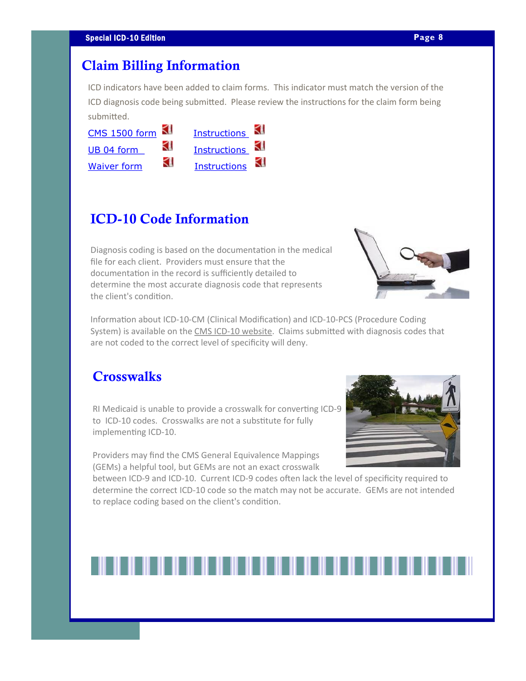#### **Claim Billing Information**

ICD indicators have been added to claim forms. This indicator must match the version of the ICD diagnosis code being submitted. Please review the instructions for the claim form being submitted.

| CMS 1500 form      |   | <b>Instructions</b> |  |
|--------------------|---|---------------------|--|
| UB 04 form         | ⊲ | Instructions KI     |  |
| <b>Waiver form</b> | ⊲ | <b>Instructions</b> |  |

### **ICD-10 Code Information**

Diagnosis coding is based on the documentation in the medical file for each client. Providers must ensure that the documentation in the record is sufficiently detailed to determine the most accurate diagnosis code that represents the client's condition.



Information about ICD-10-CM (Clinical Modification) and ICD-10-PCS (Procedure Coding System) is available on the CMS ICD-[10 website.](http://www.cms.gov/Medicare/Coding/ICD10/index.html) Claims submitted with diagnosis codes that are not coded to the correct level of specificity will deny.

#### **Crosswalks**

RI Medicaid is unable to provide a crosswalk for converting ICD-9 to ICD-10 codes. Crosswalks are not a substitute for fully implementing ICD-10.

Providers may find the CMS General Equivalence Mappings (GEMs) a helpful tool, but GEMs are not an exact crosswalk

between ICD-9 and ICD-10. Current ICD-9 codes often lack the level of specificity required to determine the correct ICD-10 code so the match may not be accurate. GEMs are not intended to replace coding based on the client's condition.

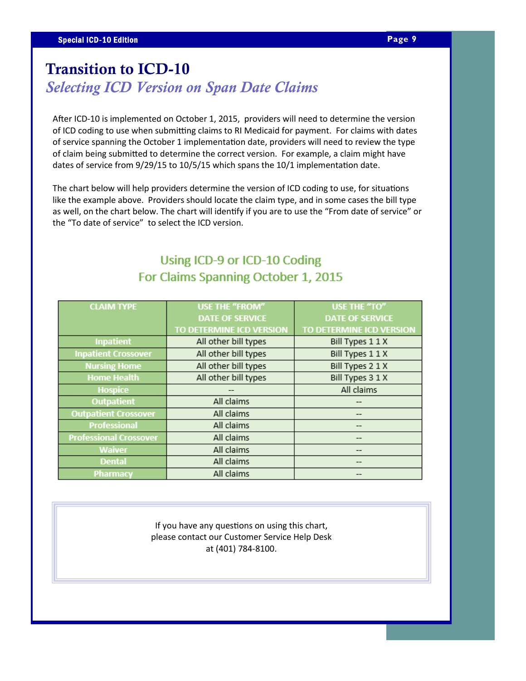# **Transition to ICD-10** *Selecting ICD Version on Span Date Claims*

After ICD-10 is implemented on October 1, 2015, providers will need to determine the version of ICD coding to use when submitting claims to RI Medicaid for payment. For claims with dates of service spanning the October 1 implementation date, providers will need to review the type of claim being submitted to determine the correct version. For example, a claim might have dates of service from 9/29/15 to 10/5/15 which spans the 10/1 implementation date.

The chart below will help providers determine the version of ICD coding to use, for situations like the example above. Providers should locate the claim type, and in some cases the bill type as well, on the chart below. The chart will identify if you are to use the "From date of service" or the "To date of service" to select the ICD version.

### Using ICD-9 or ICD-10 Coding For Claims Spanning October 1, 2015

| <b>CLAIM TYPE</b>             | <b>USE THE "FROM"</b>    | USE THE "TO"             |
|-------------------------------|--------------------------|--------------------------|
|                               | <b>DATE OF SERVICE</b>   | <b>DATE OF SERVICE</b>   |
|                               | TO DETERMINE ICD VERSION | TO DETERMINE ICD VERSION |
| <b>Inpatient</b>              | All other bill types     | Bill Types 1 1 X         |
| <b>Inpatient Crossover</b>    | All other bill types     | Bill Types 1 1 X         |
| <b>Nursing Home</b>           | All other bill types     | Bill Types 2 1 X         |
| <b>Home Health</b>            | All other bill types     | Bill Types 3 1 X         |
| <b>Hospice</b>                |                          | All claims               |
| <b>Outpatient</b>             | All claims               |                          |
| <b>Outpatient Crossover</b>   | All claims               |                          |
| <b>Professional</b>           | All claims               |                          |
| <b>Professional Crossover</b> | All claims               |                          |
| <b>Waiver</b>                 | All claims               | --                       |
| <b>Dental</b>                 | All claims               |                          |
| Pharmacy                      | All claims               |                          |

If you have any questions on using this chart, please contact our Customer Service Help Desk at (401) 784-8100.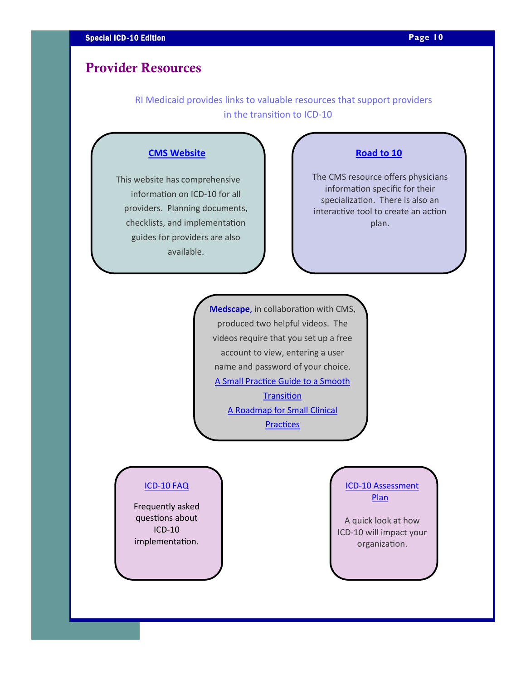# **Provider Resources**

 RI Medicaid provides links to valuable resources that support providers in the transition to ICD-10

#### **[CMS Website](http://www.cms.gov/icd10)**

This website has comprehensive information on ICD-10 for all providers. Planning documents, checklists, and implementation guides for providers are also available.

#### **[Road to 10](http://www.roadto10.org/)**

The CMS resource offers physicians information specific for their specialization. There is also an interactive tool to create an action plan.

**Medscape**, in collaboration with CMS, produced two helpful videos. The videos require that you set up a free account to view, entering a user name and password of your choice. [A Small Practice Guide to a Smooth](https://login.medscape.com/login/sso/getlogin?urlCache=aHR0cDovL3d3dy5tZWRzY2FwZS5vcmcvdmlld2FydGljbGUvODA5NzI2&ac=401)  **Transition** [A Roadmap for Small Clinical](https://login.medscape.com/login/sso/getlogin?urlCache=aHR0cDovL3d3dy5tZWRzY2FwZS5vcmcvdmlld2FydGljbGUvODA5Njc0&ac=401)  **[Practices](https://login.medscape.com/login/sso/getlogin?urlCache=aHR0cDovL3d3dy5tZWRzY2FwZS5vcmcvdmlld2FydGljbGUvODA5Njc0&ac=401)** 

#### ICD-[10 FAQ](http://www.eohhs.ri.gov/Portals/0/Uploads/Documents/MA%20Providers/ICD10_FAQ.pdf)

Frequently asked questions about ICD-10 implementation.

#### ICD-[10 Assessment](http://www.eohhs.ri.gov/Portals/0/Uploads/Documents/MA%20Providers/ICD10/ICD10_assessment_plan.pdf)  **[Plan](http://www.eohhs.ri.gov/Portals/0/Uploads/Documents/MA%20Providers/ICD10/ICD10_assessment_plan.pdf)**

A quick look at how ICD-10 will impact your organization.